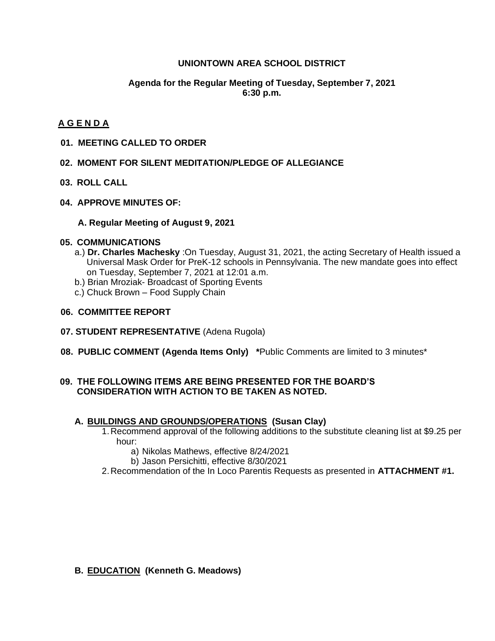## **UNIONTOWN AREA SCHOOL DISTRICT**

### **Agenda for the Regular Meeting of Tuesday, September 7, 2021 6:30 p.m.**

### **A G E N D A**

### **01. MEETING CALLED TO ORDER**

### **02. MOMENT FOR SILENT MEDITATION/PLEDGE OF ALLEGIANCE**

- **03. ROLL CALL**
- **04. APPROVE MINUTES OF:**

#### **A. Regular Meeting of August 9, 2021**

#### **05. COMMUNICATIONS**

- a.) **Dr. Charles Machesky** :On Tuesday, August 31, 2021, the acting Secretary of Health issued a Universal Mask Order for PreK-12 schools in Pennsylvania. The new mandate goes into effect on Tuesday, September 7, 2021 at 12:01 a.m.
- b.) Brian Mroziak- Broadcast of Sporting Events
- c.) Chuck Brown Food Supply Chain

### **06. COMMITTEE REPORT**

- **07. STUDENT REPRESENTATIVE** (Adena Rugola)
- **08. PUBLIC COMMENT (Agenda Items Only) \***Public Comments are limited to 3 minutes\*

### **09. THE FOLLOWING ITEMS ARE BEING PRESENTED FOR THE BOARD'S CONSIDERATION WITH ACTION TO BE TAKEN AS NOTED.**

### **A. BUILDINGS AND GROUNDS/OPERATIONS (Susan Clay)**

- 1.Recommend approval of the following additions to the substitute cleaning list at \$9.25 per hour:
	- a) Nikolas Mathews, effective 8/24/2021
	- b) Jason Persichitti, effective 8/30/2021
- 2.Recommendation of the In Loco Parentis Requests as presented in **ATTACHMENT #1.**

#### **B. EDUCATION (Kenneth G. Meadows)**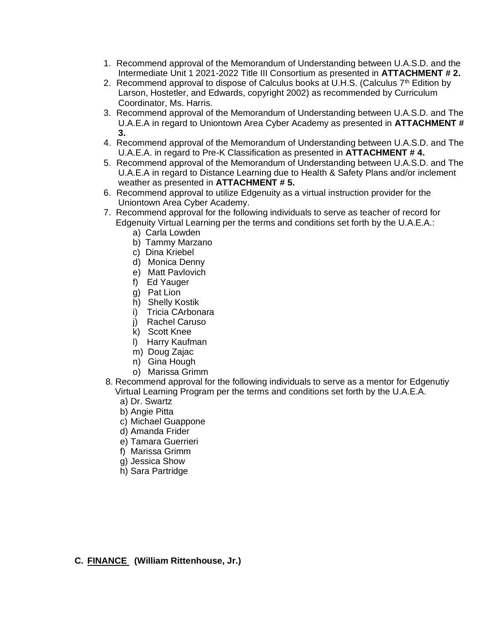- 1. Recommend approval of the Memorandum of Understanding between U.A.S.D. and the Intermediate Unit 1 2021-2022 Title III Consortium as presented in **ATTACHMENT # 2.**
- 2. Recommend approval to dispose of Calculus books at U.H.S. (Calculus  $7<sup>th</sup>$  Edition by Larson, Hostetler, and Edwards, copyright 2002) as recommended by Curriculum Coordinator, Ms. Harris.
- 3. Recommend approval of the Memorandum of Understanding between U.A.S.D. and The U.A.E.A in regard to Uniontown Area Cyber Academy as presented in **ATTACHMENT # 3.**
- 4. Recommend approval of the Memorandum of Understanding between U.A.S.D. and The U.A.E.A. in regard to Pre-K Classification as presented in **ATTACHMENT # 4.**
- 5. Recommend approval of the Memorandum of Understanding between U.A.S.D. and The U.A.E.A in regard to Distance Learning due to Health & Safety Plans and/or inclement weather as presented in **ATTACHMENT # 5.**
- 6. Recommend approval to utilize Edgenuity as a virtual instruction provider for the Uniontown Area Cyber Academy.
- 7. Recommend approval for the following individuals to serve as teacher of record for Edgenuity Virtual Learning per the terms and conditions set forth by the U.A.E.A.:
	- a) Carla Lowden
	- b) Tammy Marzano
	- c) Dina Kriebel
	- d) Monica Denny
	- e) Matt Pavlovich
	- f) Ed Yauger
	- g) Pat Lion
	- h) Shelly Kostik
	- i) Tricia CArbonara
	- j) Rachel Caruso
	- k) Scott Knee
	- l) Harry Kaufman
	- m) Doug Zajac
	- n) Gina Hough
	- o) Marissa Grimm
- 8. Recommend approval for the following individuals to serve as a mentor for Edgenutiy Virtual Learning Program per the terms and conditions set forth by the U.A.E.A.
	- a) Dr. Swartz
	- b) Angie Pitta
	- c) Michael Guappone
	- d) Amanda Frider
	- e) Tamara Guerrieri
	- f) Marissa Grimm
	- g) Jessica Show
	- h) Sara Partridge

**C. FINANCE (William Rittenhouse, Jr.)**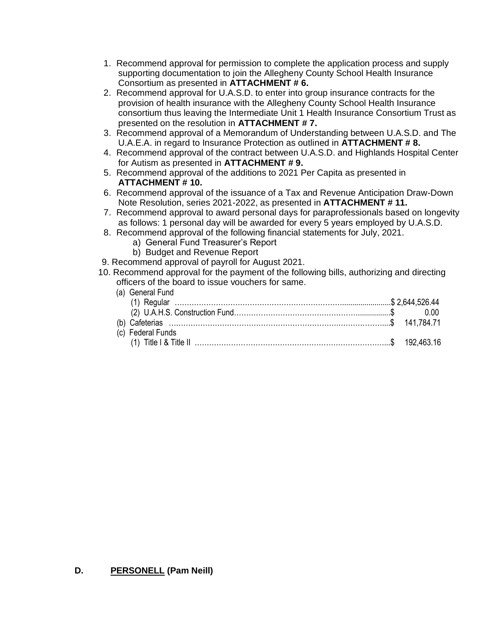- 1. Recommend approval for permission to complete the application process and supply supporting documentation to join the Allegheny County School Health Insurance Consortium as presented in **ATTACHMENT # 6.**
- 2. Recommend approval for U.A.S.D. to enter into group insurance contracts for the provision of health insurance with the Allegheny County School Health Insurance consortium thus leaving the Intermediate Unit 1 Health Insurance Consortium Trust as presented on the resolution in **ATTACHMENT # 7.**
- 3. Recommend approval of a Memorandum of Understanding between U.A.S.D. and The U.A.E.A. in regard to Insurance Protection as outlined in **ATTACHMENT # 8.**
- 4. Recommend approval of the contract between U.A.S.D. and Highlands Hospital Center for Autism as presented in **ATTACHMENT # 9.**
- 5. Recommend approval of the additions to 2021 Per Capita as presented in **ATTACHMENT # 10.**
- 6. Recommend approval of the issuance of a Tax and Revenue Anticipation Draw-Down Note Resolution, series 2021-2022, as presented in **ATTACHMENT # 11.**
- 7. Recommend approval to award personal days for paraprofessionals based on longevity as follows: 1 personal day will be awarded for every 5 years employed by U.A.S.D.
- 8. Recommend approval of the following financial statements for July, 2021.
	- a) General Fund Treasurer's Report
	- b) Budget and Revenue Report
- 9. Recommend approval of payroll for August 2021.
- 10. Recommend approval for the payment of the following bills, authorizing and directing officers of the board to issue vouchers for same.

| (a) General Fund  |  |
|-------------------|--|
|                   |  |
|                   |  |
|                   |  |
| (c) Federal Funds |  |
|                   |  |

## **D. PERSONELL (Pam Neill)**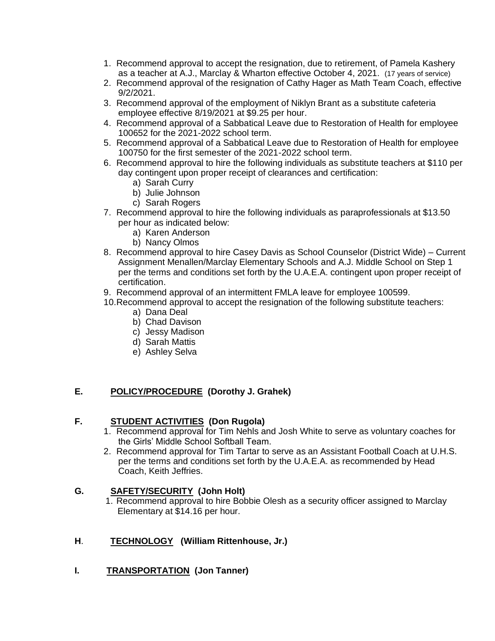- 1. Recommend approval to accept the resignation, due to retirement, of Pamela Kashery as a teacher at A.J., Marclay & Wharton effective October 4, 2021. (17 years of service)
- 2. Recommend approval of the resignation of Cathy Hager as Math Team Coach, effective 9/2/2021.
- 3. Recommend approval of the employment of Niklyn Brant as a substitute cafeteria employee effective 8/19/2021 at \$9.25 per hour.
- 4. Recommend approval of a Sabbatical Leave due to Restoration of Health for employee 100652 for the 2021-2022 school term.
- 5. Recommend approval of a Sabbatical Leave due to Restoration of Health for employee 100750 for the first semester of the 2021-2022 school term.
- 6. Recommend approval to hire the following individuals as substitute teachers at \$110 per day contingent upon proper receipt of clearances and certification:
	- a) Sarah Curry
	- b) Julie Johnson
	- c) Sarah Rogers
- 7. Recommend approval to hire the following individuals as paraprofessionals at \$13.50 per hour as indicated below:
	- a) Karen Anderson
	- b) Nancy Olmos
- 8. Recommend approval to hire Casey Davis as School Counselor (District Wide) Current Assignment Menallen/Marclay Elementary Schools and A.J. Middle School on Step 1 per the terms and conditions set forth by the U.A.E.A. contingent upon proper receipt of certification.
- 9. Recommend approval of an intermittent FMLA leave for employee 100599.
- 10.Recommend approval to accept the resignation of the following substitute teachers:
	- a) Dana Deal
	- b) Chad Davison
	- c) Jessy Madison
	- d) Sarah Mattis
	- e) Ashley Selva

# **E. POLICY/PROCEDURE (Dorothy J. Grahek)**

# **F. STUDENT ACTIVITIES (Don Rugola)**

- 1. Recommend approval for Tim Nehls and Josh White to serve as voluntary coaches for the Girls' Middle School Softball Team.
- 2. Recommend approval for Tim Tartar to serve as an Assistant Football Coach at U.H.S. per the terms and conditions set forth by the U.A.E.A. as recommended by Head Coach, Keith Jeffries.

# **G. SAFETY/SECURITY (John Holt)**

1. Recommend approval to hire Bobbie Olesh as a security officer assigned to Marclay Elementary at \$14.16 per hour.

# **H**. **TECHNOLOGY (William Rittenhouse, Jr.)**

**I. TRANSPORTATION (Jon Tanner)**